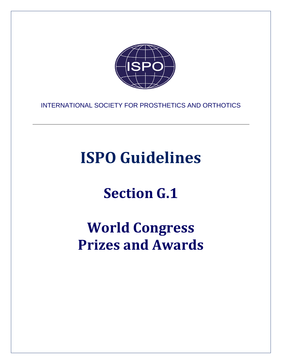

INTERNATIONAL SOCIETY FOR PROSTHETICS AND ORTHOTICS

# **ISPO Guidelines**

## **Section G.1**

## **World Congress Prizes and Awards**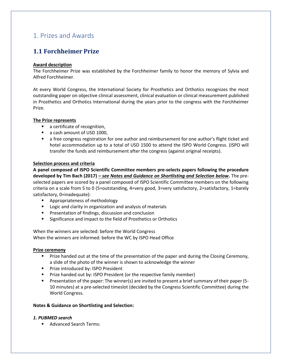## <span id="page-2-0"></span>1. Prizes and Awards

## <span id="page-2-1"></span>**1.1 Forchheimer Prize**

## **Award description**

The Forchheimer Prize was established by the Forchheimer family to honor the memory of Sylvia and Alfred Forchheimer.

At every World Congress, the International Society for Prosthetics and Orthotics recognizes the most outstanding paper on objective clinical assessment, clinical evaluation or clinical measurement published in Prosthetics and Orthotics International during the years prior to the congress with the Forchheimer Prize.

## **The Prize represents**

- a certificate of recognition,
- a cash amount of USD 1000,
- a free congress registration for one author and reimbursement for one author's flight ticket and hotel accommodation up to a total of USD 1500 to attend the ISPO World Congress. (ISPO will transfer the funds and reimbursement after the congress (against original receipts).

## **Selection process and criteria**

**A panel composed of ISPO Scientific Committee members pre-selects papers following the procedure developed by Tim Bach (2017)** *– see Notes and Guidance on Shortlisting and Selection below***.** The preselected papers are scored by a panel composed of ISPO Scientific Committee members on the following criteria on a scale from 5 to 0 (5=outstanding, 4=very good, 3=very satisfactory, 2=satisfactory, 1=barely satisfactory, 0=inadequate):

- Appropriateness of methodology
- Logic and clarity in organization and analysis of materials
- Presentation of findings, discussion and conclusion
- Significance and impact to the field of Prosthetics or Orthotics

When the winners are selected: before the World Congress When the winners are informed: before the WC by ISPO Head Office

#### **Prize ceremony**

- **•** Prize handed out at the time of the presentation of the paper and during the Closing Ceremony, a slide of the photo of the winner is shown to acknowledge the winner
- Prize introduced by: ISPO President
- Prize handed out by: ISPO President (or the respective family member)
- Presentation of the paper: The winner(s) are invited to present a brief summary of their paper (5-10 minutes) at a pre-selected timeslot (decided by the Congress Scientific Committee) during the World Congress.

### **Notes & Guidance on Shortlisting and Selection:**

## *1. PUBMED search*

■ Advanced Search Terms: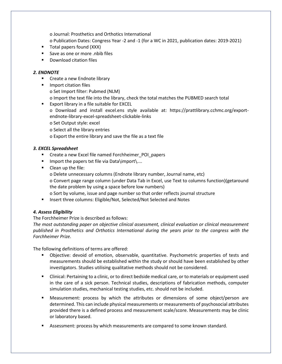o Journal: Prosthetics and Orthotics International

o Publication Dates: Congress Year -2 and -1 (for a WC in 2021, publication dates: 2019-2021)

- Total papers found (XXX)
- Save as one or more .nbib files
- Download citation files

## *2. ENDNOTE*

- Create a new Endnote library
- Import citation files o Set Import filter: Pubmed (NLM) o Import the text file into the library, check the total matches the PUBMED search total
- Export library in a file suitable for EXCEL o Download and install excel.ens style available at: https://prattlibrary.cchmc.org/exportendnote-library-excel-spreadsheet-clickable-links o Set Output style: excel
	- o Select all the library entries
	- o Export the entire library and save the file as a text file

## *3. EXCEL Spreadsheet*

- Create a new Excel file named Forchheimer\_POI\_papers
- Import the papers txt file via Data\import\....
- Clean up the file:
	- o Delete unnecessary columns (Endnote library number, Journal name, etc)
	- o Convert page range column (under Data Tab in Excel, use Text to columns function)(getaround the date problem by using a space before low numbers)
	- o Sort by volume, issue and page number so that order reflects journal structure
- Insert three columns: Eligible/Not, Selected/Not Selected and Notes

## *4. Assess Eligibility*

## The Forchheimer Prize is described as follows:

*The most outstanding paper on objective clinical assessment, clinical evaluation or clinical measurement published in Prosthetics and Orthotics International during the years prior to the congress with the Forchheimer Prize.* 

The following definitions of terms are offered:

- Objective: devoid of emotion, observable, quantitative. Psychometric properties of tests and measurements should be established within the study or should have been established by other investigators. Studies utilising qualitative methods should not be considered.
- Clinical: Pertaining to a clinic, or to direct bedside medical care, or to materials or equipment used in the care of a sick person. Technical studies, descriptions of fabrication methods, computer simulation studies, mechanical testing studies, etc. should not be included.
- Measurement: process by which the attributes or dimensions of some object/person are determined. This can include physical measurements or measurements of psychosocial attributes provided there is a defined process and measurement scale/score. Measurements may be clinic or laboratory based.
- Assessment: process by which measurements are compared to some known standard.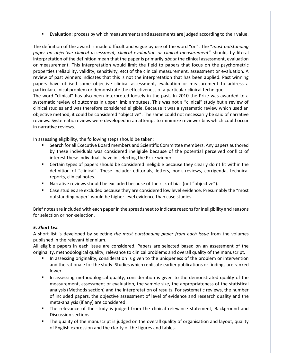■ Evaluation: process by which measurements and assessments are judged according to their value.

The definition of the award is made difficult and vague by use of the word "on". The "*most outstanding paper on objective clinical assessment, clinical evaluation or clinical measurement"* should, by literal interpretation of the definition mean that the paper is primarily *about* the clinical assessment, evaluation or measurement. This interpretation would limit the field to papers that focus on the psychometric properties (reliability, validity, sensitivity, etc) of the clinical measurement, assessment or evaluation. A review of past winners indicates that this is not the interpretation that has been applied. Past winning papers have utilised some objective clinical assessment, evaluation or measurement to address a particular clinical problem or demonstrate the effectiveness of a particular clinical technique.

The word "clinical" has also been interpreted loosely in the past. In 2010 the Prize was awarded to a systematic review of outcomes in upper limb amputees. This was not a "clinical" study but a review of clinical studies and was therefore considered eligible. Because it was a systematic review which used an objective method, it could be considered "objective". The same could not necessarily be said of narrative reviews. Systematic reviews were developed in an attempt to minimize reviewer bias which could occur in narrative reviews.

In assessing eligibility, the following steps should be taken:

- Search for all Executive Board members and Scientific Committee members. Any papers authored by these individuals was considered ineligible because of the potential perceived conflict of interest these individuals have in selecting the Prize winner.
- **EXECT** Certain types of papers should be considered ineligible because they clearly do nt fit within the definition of "clinical". These include: editorials, letters, book reviews, corrigenda, technical reports, clinical notes.
- Narrative reviews should be excluded because of the risk of bias (not "objective").
- Case studies are excluded because they are considered low level evidence. Presumably the "most outstanding paper" would be higher level evidence than case studies.

Brief notes are included with each paper in the spreadsheet to indicate reasons for ineligibility and reasons for selection or non-selection.

## *5. Short List*

A short list is developed by selecting *the most outstanding paper from each issue* from the volumes published in the relevant biennium.

All eligible papers in each issue are considered. Papers are selected based on an assessment of the originality, methodological quality, relevance to clinical problems and overall quality of the manuscript.

- In assessing originality, consideration is given to the uniqueness of the problem or intervention and the rationale for the study. Studies which replicate earlier publications or findings are ranked lower.
- In assessing methodological quality, consideration is given to the demonstrated quality of the measurement, assessment or evaluation, the sample size, the appropriateness of the statistical analysis (Methods section) and the interpretation of results. For systematic reviews, the number of included papers, the objective assessment of level of evidence and research quality and the meta-analysis (if any) are considered.
- The relevance of the study is judged from the clinical relevance statement, Background and Discussion sections.
- **•** The quality of the manuscript is judged on the overall quality of organisation and layout, quality of English expression and the clarity of the figures and tables.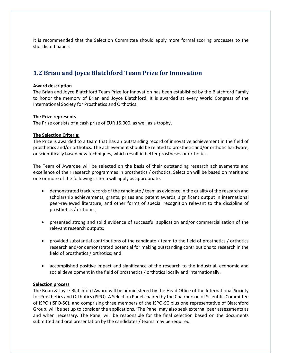It is recommended that the Selection Committee should apply more formal scoring processes to the shortlisted papers.

## <span id="page-5-0"></span>**1.2 Brian and Joyce Blatchford Team Prize for Innovation**

## **Award description**

The Brian and Joyce Blatchford Team Prize for Innovation has been established by the Blatchford Family to honor the memory of Brian and Joyce Blatchford. It is awarded at every World Congress of the International Society for Prosthetics and Orthotics.

## **The Prize represents**

The Prize consists of a cash prize of EUR 15,000, as well as a trophy.

## **The Selection Criteria:**

The Prize is awarded to a team that has an outstanding record of innovative achievement in the field of prosthetics and/or orthotics. The achievement should be related to prosthetic and/or orthotic hardware, or scientifically based new techniques, which result in better prostheses or orthotics.

The Team of Awardee will be selected on the basis of their outstanding research achievements and excellence of their research programmes in prosthetics / orthotics. Selection will be based on merit and one or more of the following criteria will apply as appropriate:

- demonstrated track records of the candidate / team as evidence in the quality of the research and scholarship achievements, grants, prizes and patent awards, significant output in international peer-reviewed literature, and other forms of special recognition relevant to the discipline of prosthetics / orthotics;
- presented strong and solid evidence of successful application and/or commercialization of the relevant research outputs;
- provided substantial contributions of the candidate / team to the field of prosthetics / orthotics research and/or demonstrated potential for making outstanding contributions to research in the field of prosthetics / orthotics; and
- accomplished positive impact and significance of the research to the industrial, economic and social development in the field of prosthetics / orthotics locally and internationally.

#### **Selection process**

The Brian & Joyce Blatchford Award will be administered by the Head Office of the International Society for Prosthetics and Orthotics (ISPO). A Selection Panel chaired by the Chairperson of Scientific Committee of ISPO (ISPO-SC), and comprising three members of the ISPO-SC plus one representative of Blatchford Group, will be set up to consider the applications. The Panel may also seek external peer assessments as and when necessary. The Panel will be responsible for the final selection based on the documents submitted and oral presentation by the candidates / teams may be required.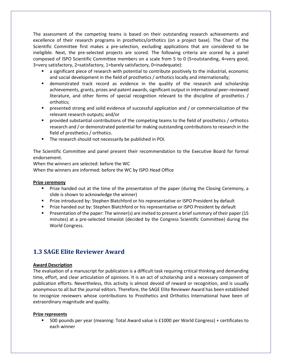The assessment of the competing teams is based on their outstanding research achievements and excellence of their research programs in prosthetics/orthotics (on a project base). The Chair of the Scientific Committee first makes a pre-selection, excluding applications that are considered to be ineligible. Next, the pre-selected projects are scored. The following criteria are scored by a panel composed of ISPO Scientific Committee members on a scale from 5 to 0 (5=outstanding, 4=very good, 3=very satisfactory, 2=satisfactory, 1=barely satisfactory, 0=inadequate):

- a significant piece of research with potential to contribute positively to the industrial, economic and social development in the field of prosthetics / orthotics locally and internationally;
- demonstrated track record as evidence in the quality of the research and scholarship achievements, grants, prizes and patent awards, significant output in international peer-reviewed literature, and other forms of special recognition relevant to the discipline of prosthetics / orthotics;
- **•** presented strong and solid evidence of successful application and / or commercialization of the relevant research outputs; and/or
- provided substantial contributions of the competing teams to the field of prosthetics / orthotics research and / or demonstrated potential for making outstanding contributions to research in the field of prosthetics / orthotics.
- **•** The research should not necessarily be published in POI.

The Scientific Committee and panel present their recommendation to the Executive Board for formal endorsement.

When the winners are selected: before the WC

When the winners are informed: before the WC by ISPO Head Office

### **Prize ceremony**

- Prize handed out at the time of the presentation of the paper (during the Closing Ceremony, a slide is shown to acknowledge the winner)
- **Prize introduced by: Stephen Blatchford or his representative or ISPO President by default**
- **Prize handed out by: Stephen Blatchford or his representative or ISPO President by default**
- Presentation of the paper: The winner(s) are invited to present a brief summary of their paper (15 minutes) at a pre-selected timeslot (decided by the Congress Scientific Committee) during the World Congress.

## <span id="page-6-0"></span>**1.3 SAGE Elite Reviewer Award**

## **Award Description**

The evaluation of a manuscript for publication is a difficult task requiring critical thinking and demanding time, effort, and clear articulation of opinions. It is an act of scholarship and a necessary component of publication efforts. Nevertheless, this activity is almost devoid of reward or recognition, and is usually anonymous to all but the journal editors. Therefore, the SAGE Elite Reviewer Award has been established to recognize reviewers whose contributions to Prosthetics and Orthotics International have been of extraordinary magnitude and quality.

#### **Prize represents**

■ 500 pounds per year (meaning: Total Award value is £1000 per World Congress) + certificates to each winner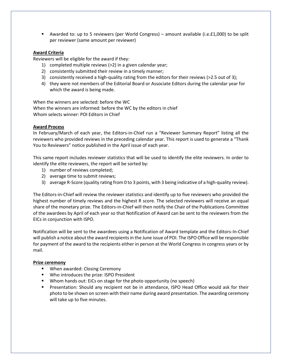■ Awarded to: up to 5 reviewers (per World Congress) – amount available (i.e.£1,000) to be split per reviewer (same amount per reviewer)

## **Award Criteria**

Reviewers will be eligible for the award if they:

- 1) completed multiple reviews (>2) in a given calendar year;
- 2) consistently submitted their review in a timely manner;
- 3) consistently received a high-quality rating from the editors for their reviews (>2.5 out of 3);
- 4) they were not members of the Editorial Board or Associate Editors during the calendar year for which the award is being made.

When the winners are selected: before the WC When the winners are informed: before the WC by the editors in chief Whom selects winner: POI Editors in Chief

## **Award Process**

In February/March of each year, the Editors-in-Chief run a "Reviewer Summary Report" listing all the reviewers who provided reviews in the preceding calendar year. This report is used to generate a "Thank You to Reviewers" notice published in the April issue of each year.

This same report includes reviewer statistics that will be used to identify the elite reviewers. In order to identify the elite reviewers, the report will be sorted by:

- 1) number of reviews completed;
- 2) average time to submit reviews;
- 3) average R-Score (quality rating from 0 to 3 points, with 3 being indicative of a high-quality review).

The Editors-in-Chief will review the reviewer statistics and identify up to five reviewers who provided the highest number of timely reviews and the highest R score. The selected reviewers will receive an equal share of the monetary prize. The Editors-in-Chief will then notify the Chair of the Publications Committee of the awardees by April of each year so that Notification of Award can be sent to the reviewers from the EICs in conjunction with ISPO.

Notification will be sent to the awardees using a Notification of Award template and the Editors-In-Chief will publish a notice about the award recipients in the June issue of POI. The ISPO Office will be responsible for payment of the award to the recipients either in person at the World Congress in congress years or by mail.

## **Prize ceremony**

- When awarded: Closing Ceremony
- Who introduces the prize: ISPO President
- Whom hands out: EiCs on stage for the photo opportunity (no speech)
- Presentation: Should any recipient not be in attendance, ISPO Head Office would ask for their photo to be shown on screen with their name during award presentation. The awarding ceremony will take up to five minutes.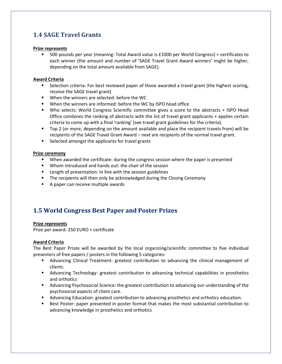## <span id="page-8-0"></span>**1.4 SAGE Travel Grants**

## **Prize represents**

▪ 500 pounds per year (meaning: Total Award value is £1000 per World Congress) + certificates to each winner (the amount and number of 'SAGE Travel Grant Award winners' might be higher, depending on the total amount available from SAGE).

## **Award Criteria**

- **EXE** Selection criteria: For best reviewed paper of those awarded a travel grant (the highest scoring, receive the SAGE travel grant)
- When the winners are selected: before the WC
- When the winners are informed: before the WC by ISPO head office
- Who selects: World Congress Scientific committee gives a score to the abstracts + ISPO Head Office combines the ranking of abstracts with the list of travel grant applicants + applies certain criteria to come up with a final 'ranking' (see travel grant guidelines for the criteria).
- Top 2 (or more, depending on the amount available and place the recipient travels from) will be recipients of the SAGE Travel Grant Award – next are recipients of the normal travel grant.
- Selected amongst the applicants for travel grants

## **Prize ceremony**

- When awarded the certificate: during the congress session where the paper is presented
- Whom introduced and hands out: the chair of the session
- Length of presentation: In line with the session guidelines
- The recipients will then only be acknowledged during the Closing Ceremony
- A paper can receive multiple awards

## <span id="page-8-1"></span>**1.5 World Congress Best Paper and Poster Prizes**

## **Prize represents**

Prize per award: 250 EURO + certificate

## **Award Criteria**

The Best Paper Prizes will be awarded by the local organizing/scientific committee to five individual presenters of free papers / posters in the following 5 categories:

- **■** Advancing Clinical Treatment: greatest contribution to advancing the clinical management of clients.
- Advancing Technology: greatest contribution to advancing technical capabilities in prosthetics and orthotics
- **■** Advancing Psychosocial Science: the greatest contribution to advancing our understanding of the psychosocial aspects of client care.
- Advancing Education: greatest contribution to advancing prosthetics and orthotics education.
- Best Poster: paper presented in poster format that makes the most substantial contribution to advancing knowledge in prosthetics and orthotics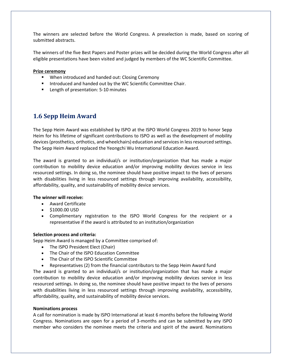The winners are selected before the World Congress. A preselection is made, based on scoring of submitted abstracts.

The winners of the five Best Papers and Poster prizes will be decided during the World Congress after all eligible presentations have been visited and judged by members of the WC Scientific Committee.

### **Prize ceremony**

- When introduced and handed out: Closing Ceremony
- **E** Introduced and handed out by the WC Scientific Committee Chair.
- Length of presentation: 5-10 minutes

## <span id="page-9-0"></span>**1.6 Sepp Heim Award**

The Sepp Heim Award was established by ISPO at the ISPO World Congress 2019 to honor Sepp Heim for his lifetime of significant contributions to ISPO as well as the development of mobility devices (prosthetics, orthotics, and wheelchairs) education and services in less resourced settings. The Sepp Heim Award replaced the Yeongchi Wu International Education Award.

The award is granted to an individual/s or institution/organization that has made a major contribution to mobility device education and/or improving mobility devices service in less resourced settings. In doing so, the nominee should have positive impact to the lives of persons with disabilities living in less resourced settings through improving availability, accessibility, affordability, quality, and sustainability of mobility device services.

#### **The winner will receive:**

- Award Certificate
- \$1000.00 USD
- Complimentary registration to the ISPO World Congress for the recipient or a representative if the award is attributed to an institution/organization

#### **Selection process and criteria:**

Sepp Heim Award is managed by a Committee comprised of:

- The ISPO President Elect (Chair)
- The Chair of the ISPO Education Committee
- The Chair of the ISPO Scientific Committee
- Representatives (2) from the financial contributors to the Sepp Heim Award fund

The award is granted to an individual/s or institution/organization that has made a major contribution to mobility device education and/or improving mobility devices service in less resourced settings. In doing so, the nominee should have positive impact to the lives of persons with disabilities living in less resourced settings through improving availability, accessibility, affordability, quality, and sustainability of mobility device services.

#### **Nominations process**

A call for nomination is made by ISPO International at least 6 months before the following World Congress. Nominations are open for a period of 3-months and can be submitted by any ISPO member who considers the nominee meets the criteria and spirit of the award. Nominations